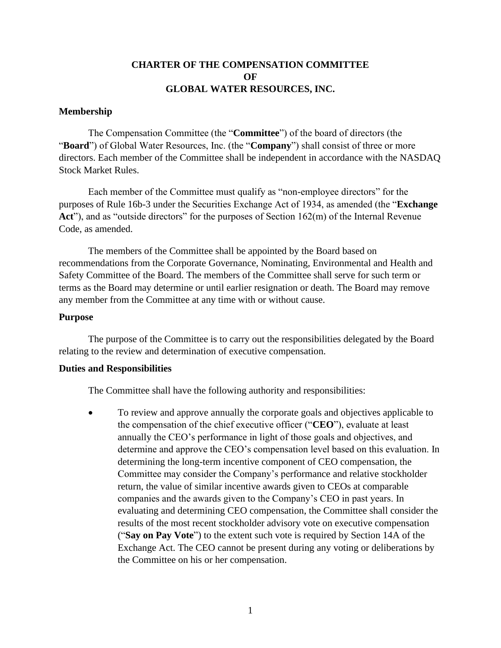# **CHARTER OF THE COMPENSATION COMMITTEE OF GLOBAL WATER RESOURCES, INC.**

## **Membership**

The Compensation Committee (the "**Committee**") of the board of directors (the "**Board**") of Global Water Resources, Inc. (the "**Company**") shall consist of three or more directors. Each member of the Committee shall be independent in accordance with the NASDAQ Stock Market Rules.

Each member of the Committee must qualify as "non-employee directors" for the purposes of Rule 16b-3 under the Securities Exchange Act of 1934, as amended (the "**Exchange**  Act"), and as "outside directors" for the purposes of Section 162(m) of the Internal Revenue Code, as amended.

The members of the Committee shall be appointed by the Board based on recommendations from the Corporate Governance, Nominating, Environmental and Health and Safety Committee of the Board. The members of the Committee shall serve for such term or terms as the Board may determine or until earlier resignation or death. The Board may remove any member from the Committee at any time with or without cause.

#### **Purpose**

The purpose of the Committee is to carry out the responsibilities delegated by the Board relating to the review and determination of executive compensation.

### **Duties and Responsibilities**

The Committee shall have the following authority and responsibilities:

• To review and approve annually the corporate goals and objectives applicable to the compensation of the chief executive officer ("**CEO**"), evaluate at least annually the CEO's performance in light of those goals and objectives, and determine and approve the CEO's compensation level based on this evaluation. In determining the long-term incentive component of CEO compensation, the Committee may consider the Company's performance and relative stockholder return, the value of similar incentive awards given to CEOs at comparable companies and the awards given to the Company's CEO in past years. In evaluating and determining CEO compensation, the Committee shall consider the results of the most recent stockholder advisory vote on executive compensation ("**Say on Pay Vote**") to the extent such vote is required by Section 14A of the Exchange Act. The CEO cannot be present during any voting or deliberations by the Committee on his or her compensation.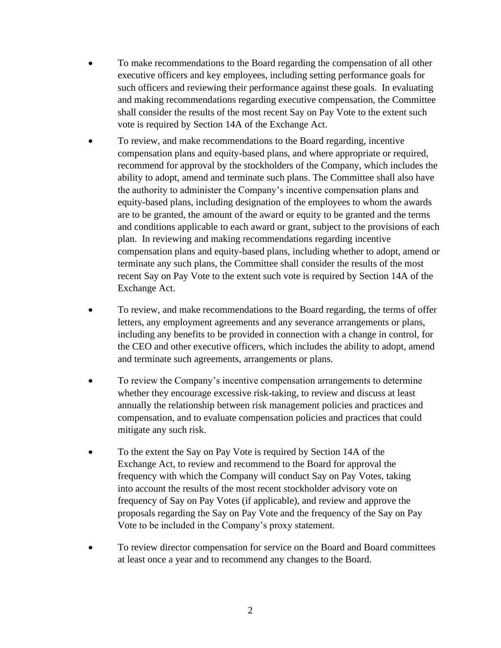- To make recommendations to the Board regarding the compensation of all other executive officers and key employees, including setting performance goals for such officers and reviewing their performance against these goals. In evaluating and making recommendations regarding executive compensation, the Committee shall consider the results of the most recent Say on Pay Vote to the extent such vote is required by Section 14A of the Exchange Act.
- To review, and make recommendations to the Board regarding, incentive compensation plans and equity-based plans, and where appropriate or required, recommend for approval by the stockholders of the Company, which includes the ability to adopt, amend and terminate such plans. The Committee shall also have the authority to administer the Company's incentive compensation plans and equity-based plans, including designation of the employees to whom the awards are to be granted, the amount of the award or equity to be granted and the terms and conditions applicable to each award or grant, subject to the provisions of each plan. In reviewing and making recommendations regarding incentive compensation plans and equity-based plans, including whether to adopt, amend or terminate any such plans, the Committee shall consider the results of the most recent Say on Pay Vote to the extent such vote is required by Section 14A of the Exchange Act.
- To review, and make recommendations to the Board regarding, the terms of offer letters, any employment agreements and any severance arrangements or plans, including any benefits to be provided in connection with a change in control, for the CEO and other executive officers, which includes the ability to adopt, amend and terminate such agreements, arrangements or plans.
- To review the Company's incentive compensation arrangements to determine whether they encourage excessive risk-taking, to review and discuss at least annually the relationship between risk management policies and practices and compensation, and to evaluate compensation policies and practices that could mitigate any such risk.
- To the extent the Say on Pay Vote is required by Section 14A of the Exchange Act, to review and recommend to the Board for approval the frequency with which the Company will conduct Say on Pay Votes, taking into account the results of the most recent stockholder advisory vote on frequency of Say on Pay Votes (if applicable), and review and approve the proposals regarding the Say on Pay Vote and the frequency of the Say on Pay Vote to be included in the Company's proxy statement.
- To review director compensation for service on the Board and Board committees at least once a year and to recommend any changes to the Board.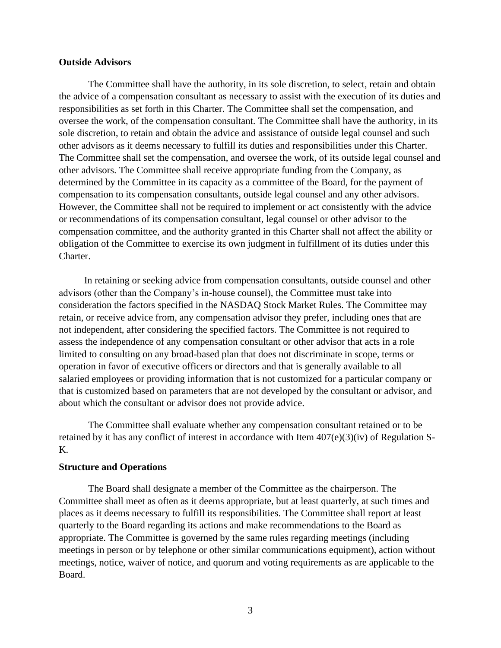### **Outside Advisors**

The Committee shall have the authority, in its sole discretion, to select, retain and obtain the advice of a compensation consultant as necessary to assist with the execution of its duties and responsibilities as set forth in this Charter. The Committee shall set the compensation, and oversee the work, of the compensation consultant. The Committee shall have the authority, in its sole discretion, to retain and obtain the advice and assistance of outside legal counsel and such other advisors as it deems necessary to fulfill its duties and responsibilities under this Charter. The Committee shall set the compensation, and oversee the work, of its outside legal counsel and other advisors. The Committee shall receive appropriate funding from the Company, as determined by the Committee in its capacity as a committee of the Board, for the payment of compensation to its compensation consultants, outside legal counsel and any other advisors. However, the Committee shall not be required to implement or act consistently with the advice or recommendations of its compensation consultant, legal counsel or other advisor to the compensation committee, and the authority granted in this Charter shall not affect the ability or obligation of the Committee to exercise its own judgment in fulfillment of its duties under this Charter.

In retaining or seeking advice from compensation consultants, outside counsel and other advisors (other than the Company's in-house counsel), the Committee must take into consideration the factors specified in the NASDAQ Stock Market Rules. The Committee may retain, or receive advice from, any compensation advisor they prefer, including ones that are not independent, after considering the specified factors. The Committee is not required to assess the independence of any compensation consultant or other advisor that acts in a role limited to consulting on any broad-based plan that does not discriminate in scope, terms or operation in favor of executive officers or directors and that is generally available to all salaried employees or providing information that is not customized for a particular company or that is customized based on parameters that are not developed by the consultant or advisor, and about which the consultant or advisor does not provide advice.

The Committee shall evaluate whether any compensation consultant retained or to be retained by it has any conflict of interest in accordance with Item 407(e)(3)(iv) of Regulation S-K.

#### **Structure and Operations**

The Board shall designate a member of the Committee as the chairperson. The Committee shall meet as often as it deems appropriate, but at least quarterly, at such times and places as it deems necessary to fulfill its responsibilities. The Committee shall report at least quarterly to the Board regarding its actions and make recommendations to the Board as appropriate. The Committee is governed by the same rules regarding meetings (including meetings in person or by telephone or other similar communications equipment), action without meetings, notice, waiver of notice, and quorum and voting requirements as are applicable to the Board.